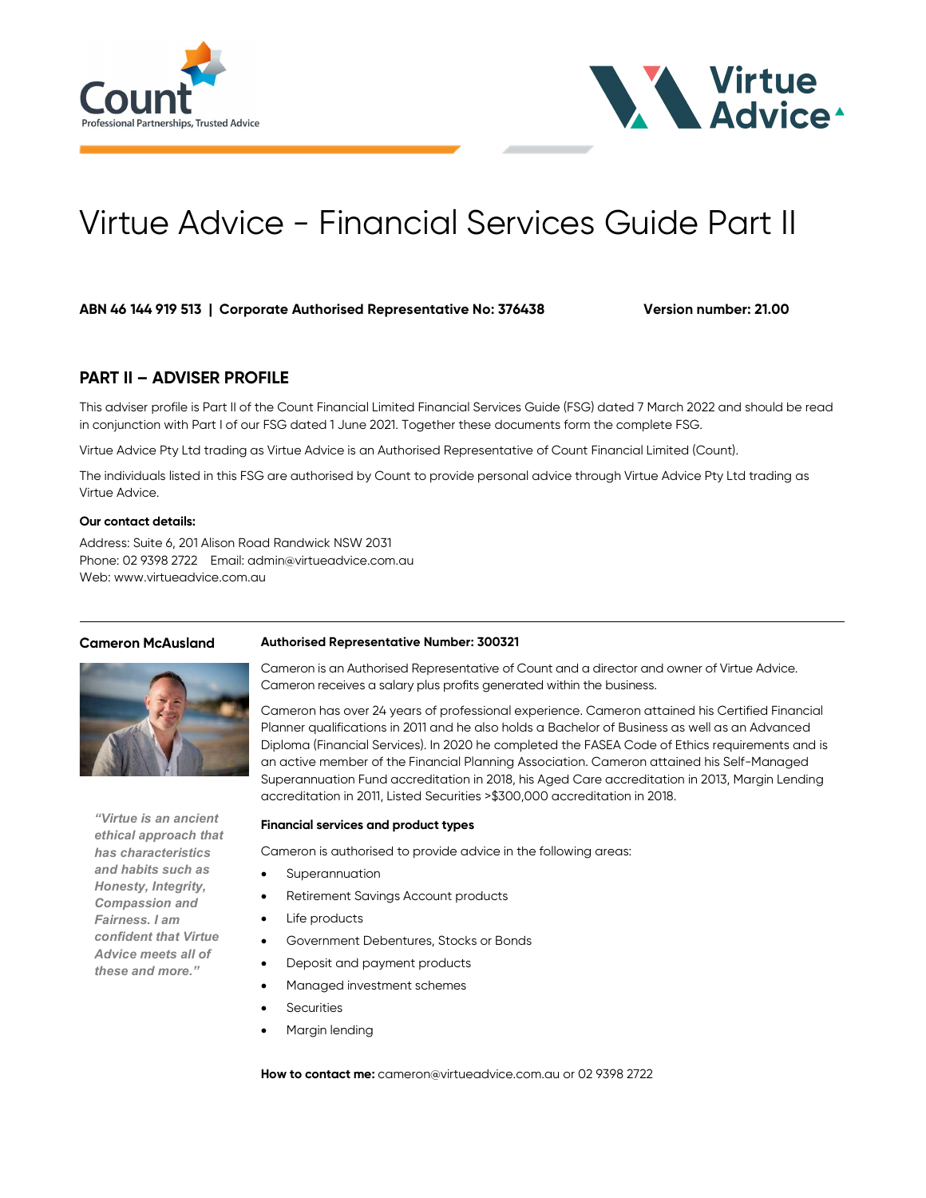



# Virtue Advice - Financial Services Guide Part II

ABN 46 144 919 513 | Corporate Authorised Representative No: 376438 Version number: 21.00

# PART II – ADVISER PROFILE

This adviser profile is Part II of the Count Financial Limited Financial Services Guide (FSG) dated 7 March 2022 and should be read in conjunction with Part I of our FSG dated 1 June 2021. Together these documents form the complete FSG.

Virtue Advice Pty Ltd trading as Virtue Advice is an Authorised Representative of Count Financial Limited (Count).

The individuals listed in this FSG are authorised by Count to provide personal advice through Virtue Advice Pty Ltd trading as Virtue Advice.

# Our contact details:

Address: Suite 6, 201 Alison Road Randwick NSW 2031 Phone: 02 9398 2722 Email: admin@virtueadvice.com.au Web: www.virtueadvice.com.au

## Cameron McAusland Authorised Representative Number: 300321



"Virtue is an ancient ethical approach that has characteristics and habits such as Honesty, Integrity, Compassion and Fairness. I am confident that Virtue Advice meets all of these and more."

Cameron is an Authorised Representative of Count and a director and owner of Virtue Advice. Cameron receives a salary plus profits generated within the business.

Cameron has over 24 years of professional experience. Cameron attained his Certified Financial Planner qualifications in 2011 and he also holds a Bachelor of Business as well as an Advanced Diploma (Financial Services). In 2020 he completed the FASEA Code of Ethics requirements and is an active member of the Financial Planning Association. Cameron attained his Self-Managed Superannuation Fund accreditation in 2018, his Aged Care accreditation in 2013, Margin Lending accreditation in 2011, Listed Securities >\$300,000 accreditation in 2018.

### Financial services and product types

Cameron is authorised to provide advice in the following areas:

- Superannuation
	- Retirement Savings Account products
- Life products
- Government Debentures, Stocks or Bonds
- Deposit and payment products
- Managed investment schemes
- **Securities**
- Margin lending

How to contact me: cameron@virtueadvice.com.au or 02 9398 2722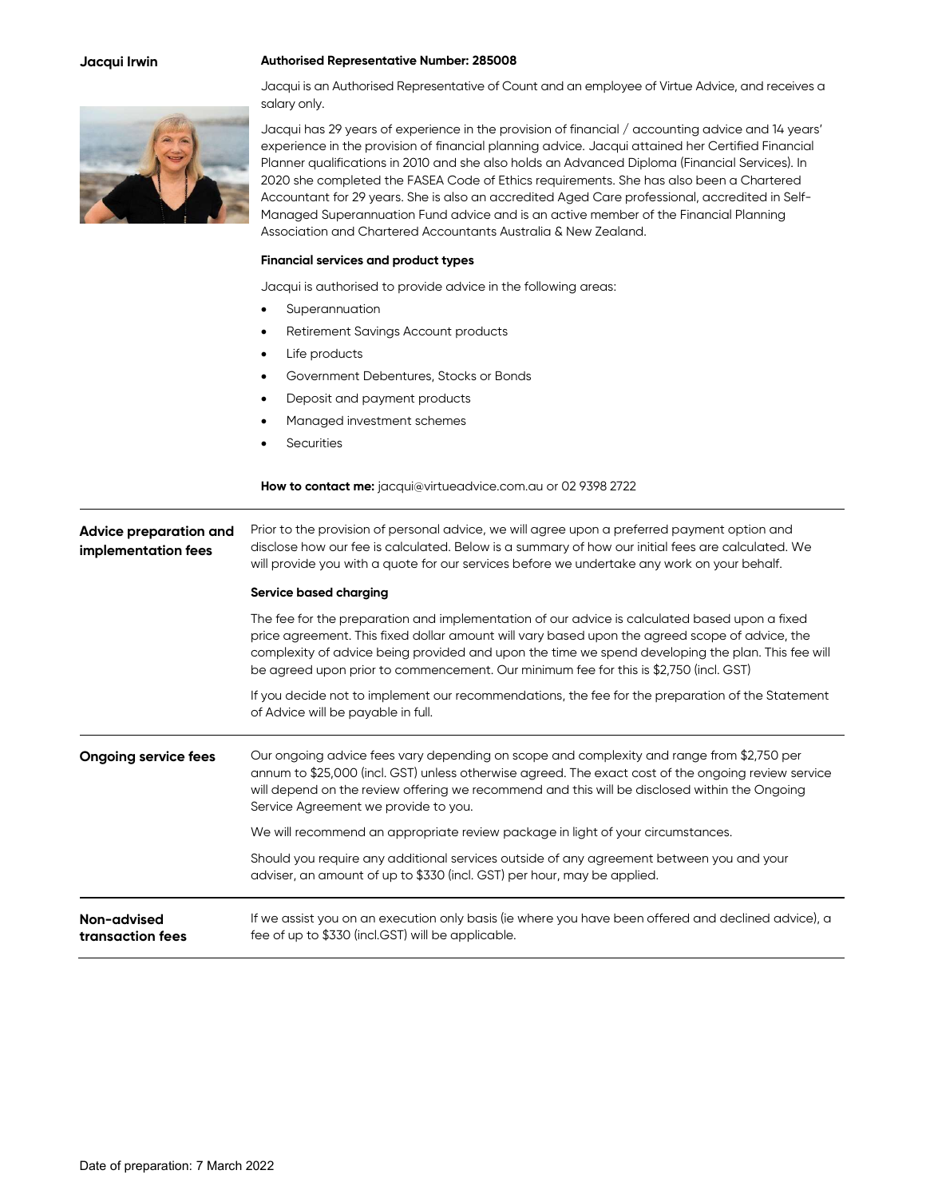### Jacqui Irwin Authorised Representative Number: 285008



Jacqui is an Authorised Representative of Count and an employee of Virtue Advice, and receives a salary only.

Jacqui has 29 years of experience in the provision of financial / accounting advice and 14 years' experience in the provision of financial planning advice. Jacqui attained her Certified Financial Planner qualifications in 2010 and she also holds an Advanced Diploma (Financial Services). In 2020 she completed the FASEA Code of Ethics requirements. She has also been a Chartered Accountant for 29 years. She is also an accredited Aged Care professional, accredited in Self-Managed Superannuation Fund advice and is an active member of the Financial Planning Association and Chartered Accountants Australia & New Zealand.

### Financial services and product types

Jacqui is authorised to provide advice in the following areas:

- Superannuation
- Retirement Savings Account products
- Life products
- Government Debentures, Stocks or Bonds
- Deposit and payment products
- Managed investment schemes
- **Securities**

### How to contact me: jacqui@virtueadvice.com.au or 02 9398 2722

Advice preparation and implementation fees Prior to the provision of personal advice, we will agree upon a preferred payment option and disclose how our fee is calculated. Below is a summary of how our initial fees are calculated. We will provide you with a quote for our services before we undertake any work on your behalf. Service based charging

> The fee for the preparation and implementation of our advice is calculated based upon a fixed price agreement. This fixed dollar amount will vary based upon the agreed scope of advice, the complexity of advice being provided and upon the time we spend developing the plan. This fee will be agreed upon prior to commencement. Our minimum fee for this is \$2,750 (incl. GST)

> If you decide not to implement our recommendations, the fee for the preparation of the Statement of Advice will be payable in full.

Ongoing service fees Cur ongoing advice fees vary depending on scope and complexity and range from \$2,750 per annum to \$25,000 (incl. GST) unless otherwise agreed. The exact cost of the ongoing review service will depend on the review offering we recommend and this will be disclosed within the Ongoing Service Agreement we provide to you. We will recommend an appropriate review package in light of your circumstances. Should you require any additional services outside of any agreement between you and your adviser, an amount of up to \$330 (incl. GST) per hour, may be applied.

Non-advised transaction fees If we assist you on an execution only basis (ie where you have been offered and declined advice), a fee of up to \$330 (incl.GST) will be applicable.